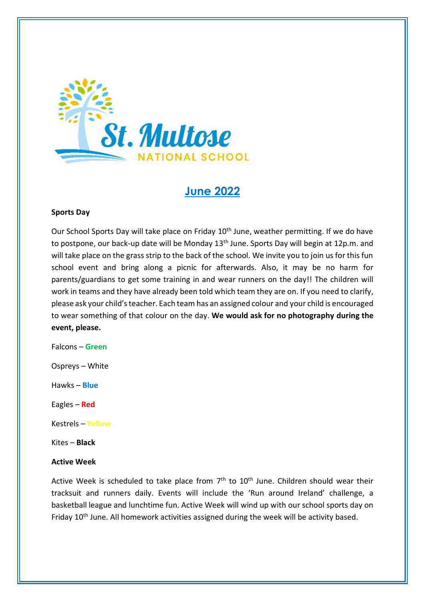

# **June 2022**

#### **Sports Day**

Our School Sports Day will take place on Friday 10<sup>th</sup> June, weather permitting. If we do have to postpone, our back-up date will be Monday 13<sup>th</sup> June. Sports Day will begin at 12p.m. and will take place on the grass strip to the back of the school. We invite you to join us for this fun school event and bring along a picnic for afterwards. Also, it may be no harm for parents/guardians to get some training in and wear runners on the day!! The children will work in teams and they have already been told which team they are on. If you need to clarify, please ask your child's teacher. Each team has an assigned colour and your child is encouraged to wear something of that colour on the day. **We would ask for no photography during the event, please.**

Falcons – **Green**

Ospreys – White

Hawks – **Blue**

Eagles – **Red**

Kestrels – **Yellow**

Kites – **Black**

#### **Active Week**

Active Week is scheduled to take place from  $7<sup>th</sup>$  to  $10<sup>th</sup>$  June. Children should wear their tracksuit and runners daily. Events will include the 'Run around Ireland' challenge, a basketball league and lunchtime fun. Active Week will wind up with our school sports day on Friday 10<sup>th</sup> June. All homework activities assigned during the week will be activity based.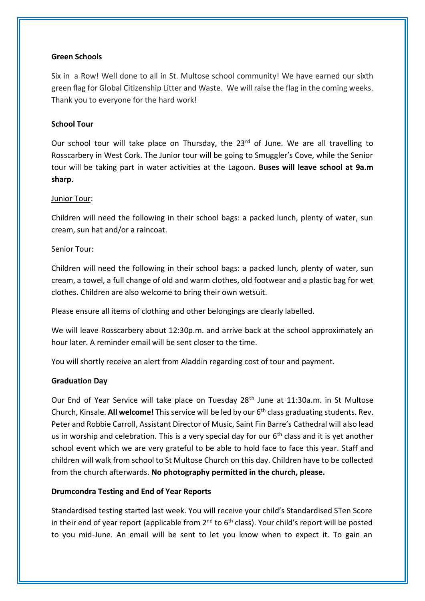# **Green Schools**

Six in a Row! Well done to all in St. Multose school community! We have earned our sixth green flag for Global Citizenship Litter and Waste. We will raise the flag in the coming weeks. Thank you to everyone for the hard work!

# **School Tour**

Our school tour will take place on Thursday, the 23<sup>rd</sup> of June. We are all travelling to Rosscarbery in West Cork. The Junior tour will be going to Smuggler's Cove, while the Senior tour will be taking part in water activities at the Lagoon. **Buses will leave school at 9a.m sharp.**

## Junior Tour:

Children will need the following in their school bags: a packed lunch, plenty of water, sun cream, sun hat and/or a raincoat.

## Senior Tour:

Children will need the following in their school bags: a packed lunch, plenty of water, sun cream, a towel, a full change of old and warm clothes, old footwear and a plastic bag for wet clothes. Children are also welcome to bring their own wetsuit.

Please ensure all items of clothing and other belongings are clearly labelled.

We will leave Rosscarbery about 12:30p.m. and arrive back at the school approximately an hour later. A reminder email will be sent closer to the time.

You will shortly receive an alert from Aladdin regarding cost of tour and payment.

#### **Graduation Day**

Our End of Year Service will take place on Tuesday 28<sup>th</sup> June at 11:30a.m. in St Multose Church, Kinsale. **All welcome!** This service will be led by our 6th class graduating students. Rev. Peter and Robbie Carroll, Assistant Director of Music, Saint Fin Barre's Cathedral will also lead us in worship and celebration. This is a very special day for our  $6<sup>th</sup>$  class and it is yet another school event which we are very grateful to be able to hold face to face this year. Staff and children will walk from school to St Multose Church on this day. Children have to be collected from the church afterwards. **No photography permitted in the church, please.**

# **Drumcondra Testing and End of Year Reports**

Standardised testing started last week. You will receive your child's Standardised STen Score in their end of year report (applicable from 2<sup>nd</sup> to 6<sup>th</sup> class). Your child's report will be posted to you mid-June. An email will be sent to let you know when to expect it. To gain an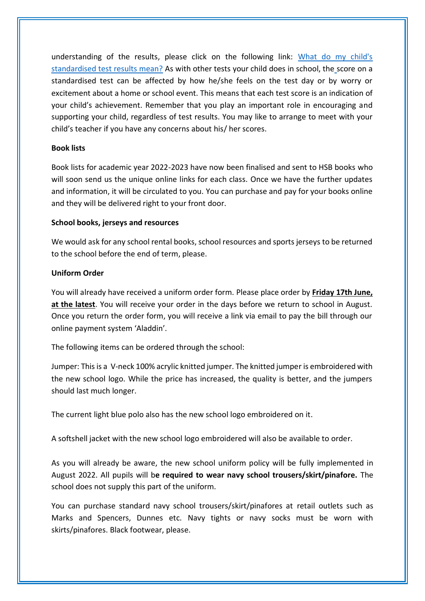understanding of the results, please click on the following link: [What do my child's](https://ncca.ie/media/1400/english_tip_sheet_sten.pdf) [standardised test results mean?](https://ncca.ie/media/1400/english_tip_sheet_sten.pdf) As with other tests your child does in school, the score on a standardised test can be affected by how he/she feels on the test day or by worry or excitement about a home or school event. This means that each test score is an indication of your child's achievement. Remember that you play an important role in encouraging and supporting your child, regardless of test results. You may like to arrange to meet with your child's teacher if you have any concerns about his/ her scores.

# **Book lists**

Book lists for academic year 2022-2023 have now been finalised and sent to HSB books who will soon send us the unique online links for each class. Once we have the further updates and information, it will be circulated to you. You can purchase and pay for your books online and they will be delivered right to your front door.

## **School books, jerseys and resources**

We would ask for any school rental books, school resources and sports jerseys to be returned to the school before the end of term, please.

## **Uniform Order**

You will already have received a uniform order form. Please place order by **Friday 17th June, at the latest**. You will receive your order in the days before we return to school in August. Once you return the order form, you will receive a link via email to pay the bill through our online payment system 'Aladdin'.

The following items can be ordered through the school:

Jumper: This is a V-neck 100% acrylic knitted jumper. The knitted jumper is embroidered with the new school logo. While the price has increased, the quality is better, and the jumpers should last much longer.

The current light blue polo also has the new school logo embroidered on it.

A softshell jacket with the new school logo embroidered will also be available to order.

As you will already be aware, the new school uniform policy will be fully implemented in August 2022. All pupils will b**e required to wear navy school trousers/skirt/pinafore.** The school does not supply this part of the uniform.

You can purchase standard navy school trousers/skirt/pinafores at retail outlets such as Marks and Spencers, Dunnes etc. Navy tights or navy socks must be worn with skirts/pinafores. Black footwear, please.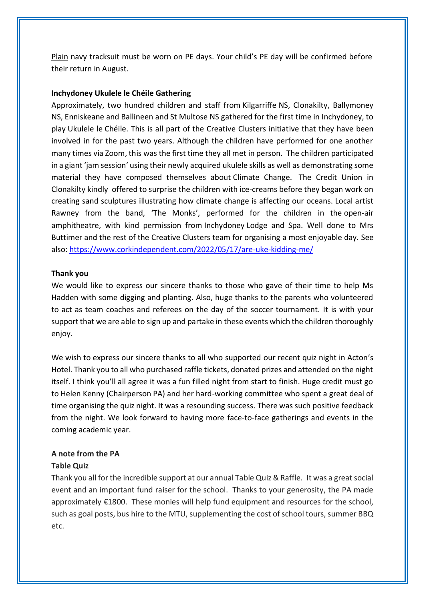Plain navy tracksuit must be worn on PE days. Your child's PE day will be confirmed before their return in August*.*

## **Inchydoney Ukulele le Chéile Gathering**

Approximately, two hundred children and staff from Kilgarriffe NS, Clonakilty, Ballymoney NS, Enniskeane and Ballineen and St Multose NS gathered for the first time in Inchydoney, to play Ukulele le Chéile. This is all part of the Creative Clusters initiative that they have been involved in for the past two years. Although the children have performed for one another many times via Zoom, this was the first time they all met in person. The children participated in a giant 'jam session' using their newly acquired ukulele skills as well as demonstrating some material they have composed themselves about Climate Change. The Credit Union in Clonakilty kindly offered to surprise the children with ice-creams before they began work on creating sand sculptures illustrating how climate change is affecting our oceans. Local artist Rawney from the band, 'The Monks', performed for the children in the open-air amphitheatre, with kind permission from Inchydoney Lodge and Spa. Well done to Mrs Buttimer and the rest of the Creative Clusters team for organising a most enjoyable day. See also:<https://www.corkindependent.com/2022/05/17/are-uke-kidding-me/>

#### **Thank you**

We would like to express our sincere thanks to those who gave of their time to help Ms Hadden with some digging and planting. Also, huge thanks to the parents who volunteered to act as team coaches and referees on the day of the soccer tournament. It is with your support that we are able to sign up and partake in these events which the children thoroughly enjoy.

We wish to express our sincere thanks to all who supported our recent quiz night in Acton's Hotel. Thank you to all who purchased raffle tickets, donated prizes and attended on the night itself. I think you'll all agree it was a fun filled night from start to finish. Huge credit must go to Helen Kenny (Chairperson PA) and her hard-working committee who spent a great deal of time organising the quiz night. It was a resounding success. There was such positive feedback from the night. We look forward to having more face-to-face gatherings and events in the coming academic year.

#### **A note from the PA**

#### **Table Quiz**

Thank you all for the incredible support at our annual Table Quiz & Raffle. It was a great social event and an important fund raiser for the school. Thanks to your generosity, the PA made approximately €1800. These monies will help fund equipment and resources for the school, such as goal posts, bus hire to the MTU, supplementing the cost of school tours, summer BBQ etc.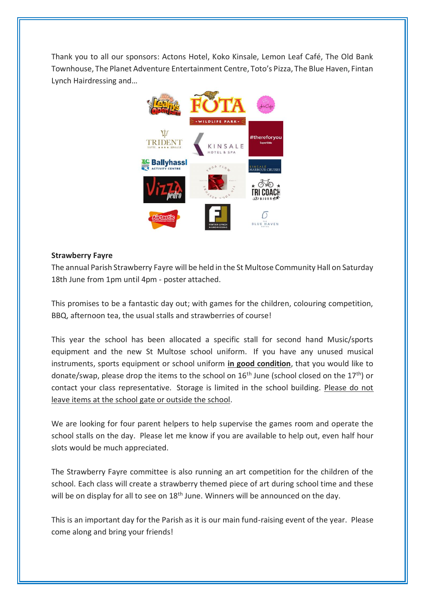Thank you to all our sponsors: Actons Hotel, Koko Kinsale, Lemon Leaf Café, The Old Bank Townhouse, The Planet Adventure Entertainment Centre, Toto's Pizza, The Blue Haven, Fintan Lynch Hairdressing and…



# **Strawberry Fayre**

The annual Parish Strawberry Fayre will be held in the St Multose Community Hall on Saturday 18th June from 1pm until 4pm - poster attached.

This promises to be a fantastic day out; with games for the children, colouring competition, BBQ, afternoon tea, the usual stalls and strawberries of course!

This year the school has been allocated a specific stall for second hand Music/sports equipment and the new St Multose school uniform. If you have any unused musical instruments, sports equipment or school uniform **in good condition**, that you would like to donate/swap, please drop the items to the school on  $16<sup>th</sup>$  June (school closed on the  $17<sup>th</sup>$ ) or contact your class representative. Storage is limited in the school building. Please do not leave items at the school gate or outside the school.

We are looking for four parent helpers to help supervise the games room and operate the school stalls on the day. Please let me know if you are available to help out, even half hour slots would be much appreciated.

The Strawberry Fayre committee is also running an art competition for the children of the school. Each class will create a strawberry themed piece of art during school time and these will be on display for all to see on 18<sup>th</sup> June. Winners will be announced on the day.

This is an important day for the Parish as it is our main fund-raising event of the year. Please come along and bring your friends!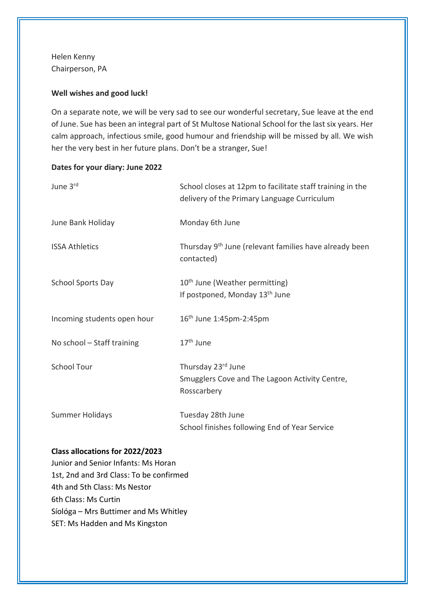Helen Kenny Chairperson, PA

## **Well wishes and good luck!**

On a separate note, we will be very sad to see our wonderful secretary, Sue leave at the end of June. Sue has been an integral part of St Multose National School for the last six years. Her calm approach, infectious smile, good humour and friendship will be missed by all. We wish her the very best in her future plans. Don't be a stranger, Sue!

#### **Dates for your diary: June 2022**

| June 3rd                    | School closes at 12pm to facilitate staff training in the<br>delivery of the Primary Language Curriculum |
|-----------------------------|----------------------------------------------------------------------------------------------------------|
| June Bank Holiday           | Monday 6th June                                                                                          |
| <b>ISSA Athletics</b>       | Thursday 9 <sup>th</sup> June (relevant families have already been<br>contacted)                         |
| <b>School Sports Day</b>    | 10 <sup>th</sup> June (Weather permitting)<br>If postponed, Monday 13 <sup>th</sup> June                 |
| Incoming students open hour | 16 <sup>th</sup> June 1:45pm-2:45pm                                                                      |
| No school - Staff training  | 17 <sup>th</sup> June                                                                                    |
| <b>School Tour</b>          | Thursday 23rd June<br>Smugglers Cove and The Lagoon Activity Centre,<br>Rosscarbery                      |
| <b>Summer Holidays</b>      | Tuesday 28th June<br>School finishes following End of Year Service                                       |

#### **Class allocations for 2022/2023**

Junior and Senior Infants: Ms Horan 1st, 2nd and 3rd Class: To be confirmed 4th and 5th Class: Ms Nestor 6th Class: Ms Curtin Síológa – Mrs Buttimer and Ms Whitley SET: Ms Hadden and Ms Kingston